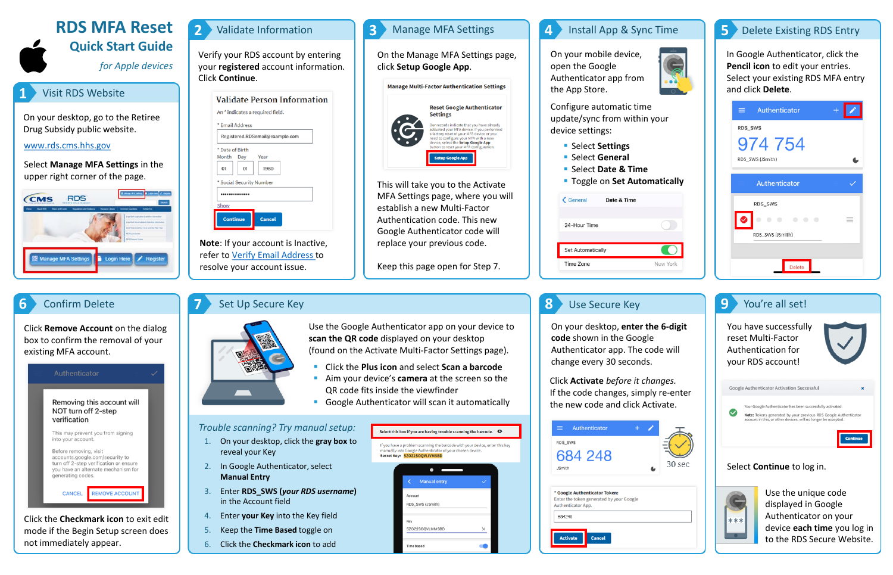